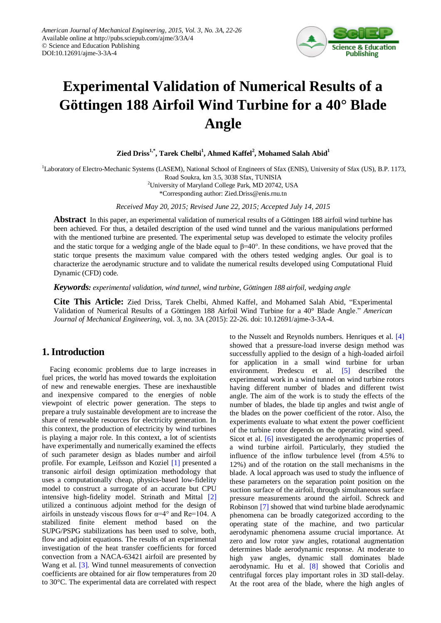

# **Experimental Validation of Numerical Results of a Göttingen 188 Airfoil Wind Turbine for a 40° Blade Angle**

**Zied Driss1,\* , Tarek Chelbi<sup>1</sup> , Ahmed Kaffel<sup>2</sup> , Mohamed Salah Abid<sup>1</sup>**

<sup>1</sup>Laboratory of Electro-Mechanic Systems (LASEM), National School of Engineers of Sfax (ENIS), University of Sfax (US), B.P. 1173, Road Soukra, km 3.5, 3038 Sfax, TUNISIA

> <sup>2</sup>University of Maryland College Park, MD 20742, USA \*Corresponding author: Zied.Driss@enis.rnu.tn

*Received May 20, 2015; Revised June 22, 2015; Accepted July 14, 2015*

**Abstract** In this paper, an experimental validation of numerical results of a Göttingen 188 airfoil wind turbine has been achieved. For thus, a detailed description of the used wind tunnel and the various manipulations performed with the mentioned turbine are presented. The experimental setup was developed to estimate the velocity profiles and the static torque for a wedging angle of the blade equal to  $\beta = 40^\circ$ . In these conditions, we have proved that the static torque presents the maximum value compared with the others tested wedging angles. Our goal is to characterize the aerodynamic structure and to validate the numerical results developed using Computational Fluid Dynamic (CFD) code.

*Keywords: experimental validation, wind tunnel, wind turbine, Göttingen 188 airfoil, wedging angle*

**Cite This Article:** Zied Driss, Tarek Chelbi, Ahmed Kaffel, and Mohamed Salah Abid, "Experimental Validation of Numerical Results of a Göttingen 188 Airfoil Wind Turbine for a 40° Blade Angle." *American Journal of Mechanical Engineering*, vol. 3, no. 3A (2015): 22-26. doi: 10.12691/ajme-3-3A-4.

# **1. Introduction**

Facing economic problems due to large increases in fuel prices, the world has moved towards the exploitation of new and renewable energies. These are inexhaustible and inexpensive compared to the energies of noble viewpoint of electric power generation. The steps to prepare a truly sustainable development are to increase the share of renewable resources for electricity generation. In this context, the production of electricity by wind turbines is playing a major role. In this context, a lot of scientists have experimentally and numerically examined the effects of such parameter design as blades number and airfoil profile. For example, Leifsson and Koziel [\[1\]](#page-3-0) presented a transonic airfoil design optimization methodology that uses a computationally cheap, physics-based low-fidelity model to construct a surrogate of an accurate but CPU intensive high-fidelity model. Strinath and Mittal [\[2\]](#page-3-1) utilized a continuous adjoint method for the design of airfoils in unsteady viscous flows for  $\alpha=4^{\circ}$  and Re=104. A stabilized finite element method based on the SUPG/PSPG stabilizations has been used to solve, both, flow and adjoint equations. The results of an experimental investigation of the heat transfer coefficients for forced convection from a NACA-63421 airfoil are presented by Wang et al. [\[3\].](#page-3-2) Wind tunnel measurements of convection coefficients are obtained for air flow temperatures from 20 to 30°C. The experimental data are correlated with respect to the Nusselt and Reynolds numbers. Henriques et al. [\[4\]](#page-4-0) showed that a pressure-load inverse design method was successfully applied to the design of a high-loaded airfoil for application in a small wind turbine for urban environment. Predescu et al. [\[5\]](#page-4-1) described the experimental work in a wind tunnel on wind turbine rotors having different number of blades and different twist angle. The aim of the work is to study the effects of the number of blades, the blade tip angles and twist angle of the blades on the power coefficient of the rotor. Also, the experiments evaluate to what extent the power coefficient of the turbine rotor depends on the operating wind speed. Sicot et al. [\[6\]](#page-4-2) investigated the aerodynamic properties of a wind turbine airfoil. Particularly, they studied the influence of the inflow turbulence level (from 4.5% to 12%) and of the rotation on the stall mechanisms in the blade. A local approach was used to study the influence of these parameters on the separation point position on the suction surface of the airfoil, through simultaneous surface pressure measurements around the airfoil. Schreck and Robinson [\[7\]](#page-4-3) showed that wind turbine blade aerodynamic phenomena can be broadly categorized according to the operating state of the machine, and two particular aerodynamic phenomena assume crucial importance. At zero and low rotor yaw angles, rotational augmentation determines blade aerodynamic response. At moderate to high yaw angles, dynamic stall dominates blade aerodynamic. Hu et al. [\[8\]](#page-4-4) showed that Coriolis and centrifugal forces play important roles in 3D stall-delay. At the root area of the blade, where the high angles of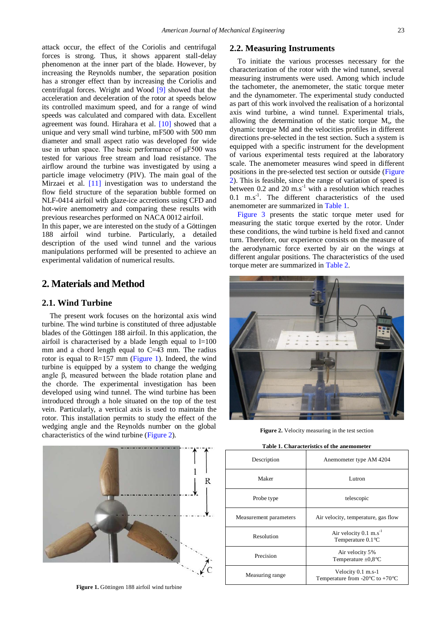attack occur, the effect of the Coriolis and centrifugal forces is strong. Thus, it shows apparent stall-delay phenomenon at the inner part of the blade. However, by increasing the Reynolds number, the separation position has a stronger effect than by increasing the Coriolis and centrifugal forces. Wright and Wood [\[9\]](#page-4-5) showed that the acceleration and deceleration of the rotor at speeds below its controlled maximum speed, and for a range of wind speeds was calculated and compared with data. Excellent agreement was found. Hirahara et al. [\[10\]](#page-4-6) showed that a unique and very small wind turbine, mF500 with 500 mm diameter and small aspect ratio was developed for wide use in urban space. The basic performance of μF500 was tested for various free stream and load resistance. The airflow around the turbine was investigated by using a particle image velocimetry (PIV). The main goal of the Mirzaei et al. [\[11\]](#page-4-7) investigation was to understand the flow field structure of the separation bubble formed on NLF-0414 airfoil with glaze-ice accretions using CFD and hot-wire anemometry and comparing these results with previous researches performed on NACA 0012 airfoil.

In this paper, we are interested on the study of a Göttingen 188 airfoil wind turbine. Particularly, a detailed description of the used wind tunnel and the various manipulations performed will be presented to achieve an experimental validation of numerical results.

## **2. Materials and Method**

#### **2.1. Wind Turbine**

The present work focuses on the horizontal axis wind turbine. The wind turbine is constituted of three adjustable blades of the Göttingen 188 airfoil. In this application, the airfoil is characterised by a blade length equal to  $l=100$ mm and a chord length equal to C=43 mm. The radius rotor is equal to R=157 mm [\(Figure 1\)](#page-1-0). Indeed, the wind turbine is equipped by a system to change the wedging angle β, measured between the blade rotation plane and the chorde. The experimental investigation has been developed using wind tunnel. The wind turbine has been introduced through a hole situated on the top of the test vein. Particularly, a vertical axis is used to maintain the rotor. This installation permits to study the effect of the wedging angle and the Reynolds number on the global characteristics of the wind turbine [\(Figure 2\)](#page-1-1).

# <span id="page-1-0"></span>R

**Figure 1.** Göttingen 188 airfoil wind turbine

### **2.2. Measuring Instruments**

To initiate the various processes necessary for the characterization of the rotor with the wind tunnel, several measuring instruments were used. Among which include the tachometer, the anemometer, the static torque meter and the dynamometer. The experimental study conducted as part of this work involved the realisation of a horizontal axis wind turbine, a wind tunnel. Experimental trials, allowing the determination of the static torque M<sup>s</sup> , the dynamic torque Md and the velocities profiles in different directions pre-selected in the test section. Such a system is equipped with a specific instrument for the development of various experimental tests required at the laboratory scale. The anemometer measures wind speed in different positions in the pre-selected test section or outside [\(Figure](#page-1-1)  [2\)](#page-1-1). This is feasible, since the range of variation of speed is between  $0.2$  and  $20 \text{ m.s}^{-1}$  with a resolution which reaches  $0.1$  m.s<sup>-1</sup>. The different characteristics of the used anemometer are summarized in [Table 1.](#page-1-2)

[Figure 3](#page-2-0) presents the static torque meter used for measuring the static torque exerted by the rotor. Under these conditions, the wind turbine is held fixed and cannot turn. Therefore, our experience consists on the measure of the aerodynamic force exerted by air on the wings at different angular positions. The characteristics of the used torque meter are summarized in [Table 2.](#page-2-1)

<span id="page-1-1"></span>

**Figure 2.** Velocity measuring in the test section

<span id="page-1-2"></span>

| Table 1. Characteristics of the anemometer |                                                                           |
|--------------------------------------------|---------------------------------------------------------------------------|
| Description                                | Anemometer type AM 4204                                                   |
| Maker                                      | Lutron                                                                    |
| Probe type                                 | telescopic                                                                |
| Measurement parameters                     | Air velocity, temperature, gas flow                                       |
| Resolution                                 | Air velocity $0.1 \text{ m.s}^{-1}$<br>Temperature $0.1 \text{ C}$        |
| Precision                                  | Air velocity 5%<br>Temperature $\pm 0.8$ °C                               |
| Measuring range                            | Velocity 0.1 m.s-1<br>Temperature from -20 $\mathbb C$ to +70 $\mathbb C$ |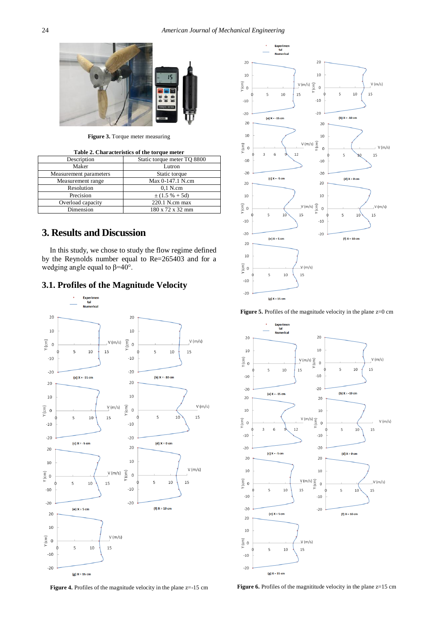<span id="page-2-0"></span>

**Figure 3.** Torque meter measuring

<span id="page-2-1"></span>

| Table 2. Characteristics of the torque meter |                             |
|----------------------------------------------|-----------------------------|
| Description                                  | Static torque meter TO 8800 |
| Maker                                        | Lutron                      |
| Measurement parameters                       | Static torque               |
| Measurement range                            | Max 0-147.1 N.cm            |
| Resolution                                   | $0.1$ N.cm                  |
| Precision                                    | $\pm(1.5\% + 5d)$           |
| Overload capacity                            | $220.1$ N.cm max            |
| Dimension                                    | 180 x 72 x 32 mm            |

# **3. Results and Discussion**

In this study, we chose to study the flow regime defined by the Reynolds number equal to Re=265403 and for a wedging angle equal to  $\beta = 40^{\circ}$ .



<span id="page-2-2"></span>



<span id="page-2-3"></span>



<span id="page-2-4"></span>

Figure 6. Profiles of the magnititude velocity in the plane z=15 cm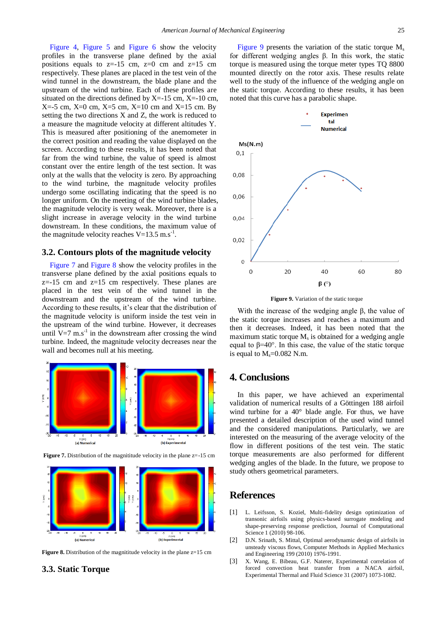[Figure 4,](#page-2-2) [Figure 5](#page-2-3) and [Figure 6](#page-2-4) show the velocity profiles in the transverse plane defined by the axial positions equals to  $z=15$  cm,  $z=0$  cm and  $z=15$  cm respectively. These planes are placed in the test vein of the wind tunnel in the downstream, the blade plane and the upstream of the wind turbine. Each of these profiles are situated on the directions defined by  $X = -15$  cm,  $X = -10$  cm,  $X=-5$  cm,  $X=0$  cm,  $X=5$  cm,  $X=10$  cm and  $X=15$  cm. By setting the two directions X and Z, the work is reduced to a measure the magnitude velocity at different altitudes Y. This is measured after positioning of the anemometer in the correct position and reading the value displayed on the screen. According to these results, it has been noted that far from the wind turbine, the value of speed is almost constant over the entire length of the test section. It was only at the walls that the velocity is zero. By approaching to the wind turbine, the magnitude velocity profiles undergo some oscillating indicating that the speed is no longer uniform. On the meeting of the wind turbine blades, the magnitude velocity is very weak. Moreover, there is a slight increase in average velocity in the wind turbine downstream. In these conditions, the maximum value of the magnitude velocity reaches  $V=13.5$  m.s<sup>-1</sup>.

#### **3.2. Contours plots of the magnitude velocity**

[Figure 7](#page-3-3) and [Figure 8](#page-3-4) show the velocity profiles in the transverse plane defined by the axial positions equals to  $z=15$  cm and  $z=15$  cm respectively. These planes are placed in the test vein of the wind tunnel in the downstream and the upstream of the wind turbine. According to these results, it's clear that the distribution of the magnitude velocity is uniform inside the test vein in the upstream of the wind turbine. However, it decreases until  $V=7$  m.s<sup>-1</sup> in the downstream after crossing the wind turbine. Indeed, the magnitude velocity decreases near the wall and becomes null at his meeting.

<span id="page-3-3"></span>



<span id="page-3-4"></span>

**Figure 8.** Distribution of the magnititude velocity in the plane z=15 cm

#### **3.3. Static Torque**

[Figure 9](#page-3-5) presents the variation of the static torque  $M_s$ for different wedging angles β. In this work, the static torque is measured using the torque meter types TQ 8800 mounted directly on the rotor axis. These results relate well to the study of the influence of the wedging angle on the static torque. According to these results, it has been noted that this curve has a parabolic shape.

<span id="page-3-5"></span>

**Figure 9.** Variation of the static torque

With the increase of the wedging angle  $β$ , the value of the static torque increases and reaches a maximum and then it decreases. Indeed, it has been noted that the maximum static torque  $M<sub>s</sub>$  is obtained for a wedging angle equal to β=40°. In this case, the value of the static torque is equal to  $M_s = 0.082$  N.m.

# **4. Conclusions**

In this paper, we have achieved an experimental validation of numerical results of a Göttingen 188 airfoil wind turbine for a 40° blade angle. For thus, we have presented a detailed description of the used wind tunnel and the considered manipulations. Particularly, we are interested on the measuring of the average velocity of the flow in different positions of the test vein. The static torque measurements are also performed for different wedging angles of the blade. In the future, we propose to study others geometrical parameters.

#### **References**

- <span id="page-3-0"></span>[1] L. Leifsson, S. Koziel, Multi-fidelity design optimization of transonic airfoils using physics-based surrogate modeling and shape-preserving response prediction, Journal of Computational Science 1 (2010) 98-106.
- <span id="page-3-1"></span>[2] D.N. Srinath, S. Mittal, Optimal aerodynamic design of airfoils in unsteady viscous flows, Computer Methods in Applied Mechanics and Engineering 199 (2010) 1976-1991.
- <span id="page-3-2"></span>[3] X. Wang, E. Bibeau, G.F. Naterer, Experimental correlation of forced convection heat transfer from a NACA airfoil, Experimental Thermal and Fluid Science 31 (2007) 1073-1082.